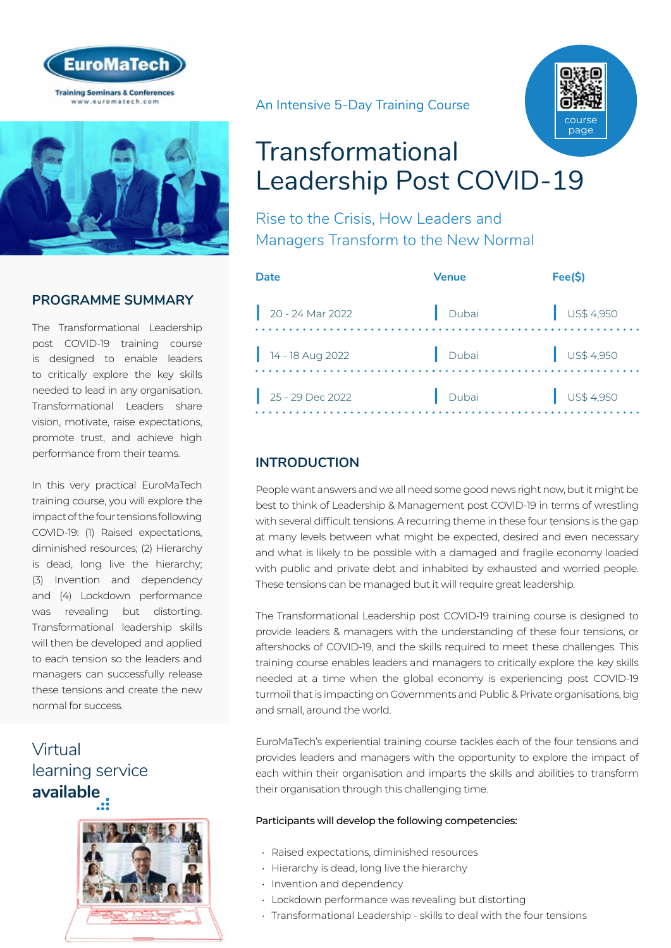



### **PROGRAMME SUMMARY**

The Transformational Leadership post COVID-19 training course is designed to enable leaders to critically explore the key skills needed to lead in any organisation. Transformational Leaders share vision, motivate, raise expectations, promote trust, and achieve high performance from their teams.

In this very practical EuroMaTech training course, you will explore the impact of the four tensions following COVID-19: (1) Raised expectations, diminished resources; (2) Hierarchy is dead, long live the hierarchy; (3) Invention and dependency and (4) Lockdown performance was revealing but distorting. Transformational leadership skills will then be developed and applied to each tension so the leaders and managers can successfully release these tensions and create the new normal for success.

## Virtual [learning service](https://www.euromatech.com/seminars/transformational-leadership-post-covid-19-1/)  **available**



An Intensive 5-Day Training Course



# Transformational Leadership Post COVID-19

Rise to the Crisis, How Leaders and Managers Transform to the New Normal

| Date               | Venue | Fee(S)                   |
|--------------------|-------|--------------------------|
| $20 - 24$ Mar 2022 | Dubai | $\frac{1}{2}$ US\$ 4,950 |
| $14 - 18$ Aug 2022 | Dubai | $\bigcup$ US\$ 4,950     |
| $25 - 29$ Dec 2022 | Dubai | $\bigcup$ US\$ 4,950     |
|                    |       |                          |

### **INTRODUCTION**

People want answers and we all need some good news right now, but it might be best to think of Leadership & Management post COVID-19 in terms of wrestling with several difficult tensions. A recurring theme in these four tensions is the gap at many levels between what might be expected, desired and even necessary and what is likely to be possible with a damaged and fragile economy loaded with public and private debt and inhabited by exhausted and worried people. These tensions can be managed but it will require great leadership.

The Transformational Leadership post COVID-19 training course is designed to provide leaders & managers with the understanding of these four tensions, or aftershocks of COVID-19, and the skills required to meet these challenges. This training course enables leaders and managers to critically explore the key skills needed at a time when the global economy is experiencing post COVID-19 turmoil that is impacting on Governments and Public & Private organisations, big and small, around the world.

EuroMaTech's experiential training course tackles each of the four tensions and provides leaders and managers with the opportunity to explore the impact of each within their organisation and imparts the skills and abilities to transform their organisation through this challenging time.

#### Participants will develop the following competencies:

- Raised expectations, diminished resources
- Hierarchy is dead, long live the hierarchy
- Invention and dependency
- Lockdown performance was revealing but distorting
- Transformational Leadership skills to deal with the four tensions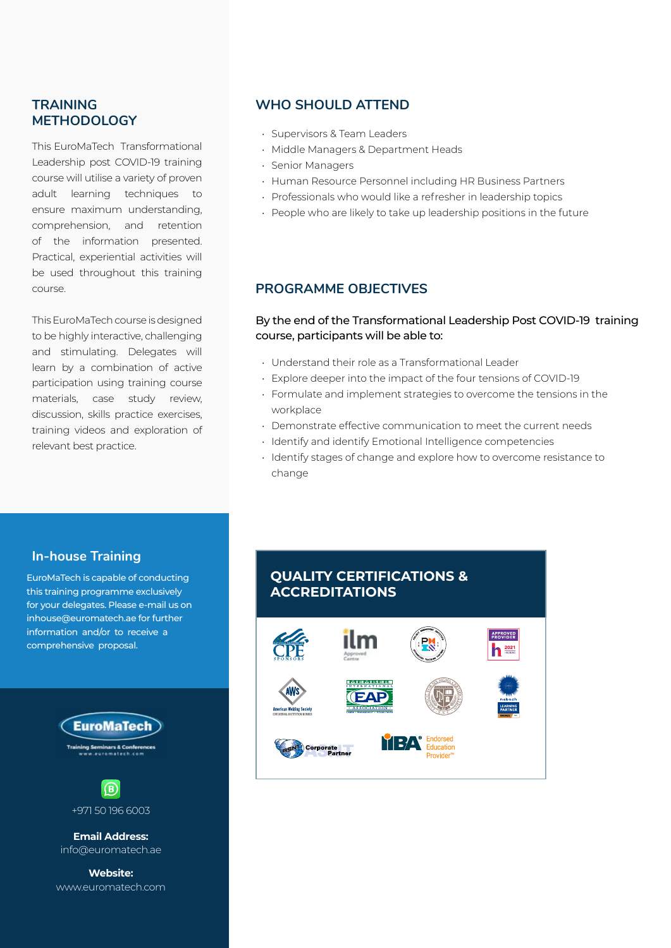### **TRAINING METHODOLOGY**

This EuroMaTech Transformational Leadership post COVID-19 training course will utilise a variety of proven adult learning techniques to ensure maximum understanding, comprehension, and retention of the information presented. Practical, experiential activities will be used throughout this training course.

This EuroMaTech course is designed to be highly interactive, challenging and stimulating. Delegates will learn by a combination of active participation using training course materials, case study review, discussion, skills practice exercises, training videos and exploration of relevant best practice.

### **WHO SHOULD ATTEND**

- Supervisors & Team Leaders
- Middle Managers & Department Heads
- Senior Managers
- Human Resource Personnel including HR Business Partners
- Professionals who would like a refresher in leadership topics
- People who are likely to take up leadership positions in the future

#### **PROGRAMME OBJECTIVES**

#### By the end of the Transformational Leadership Post COVID-19 training course, participants will be able to:

- Understand their role as a Transformational Leader
- Explore deeper into the impact of the four tensions of COVID-19
- Formulate and implement strategies to overcome the tensions in the workplace
- Demonstrate effective communication to meet the current needs
- Identify and identify Emotional Intelligence competencies
- Identify stages of change and explore how to overcome resistance to change

#### **In-house Training**

EuroMaTech is capable of conducting this training programme exclusively for your delegates. Please e-mail us on inhouse@euromatech.ae for further information and/or to receive a comprehensive proposal.



**Website:** www.euromatech.com

### **QUALITY CERTIFICATIONS & ACCREDITATIONS**

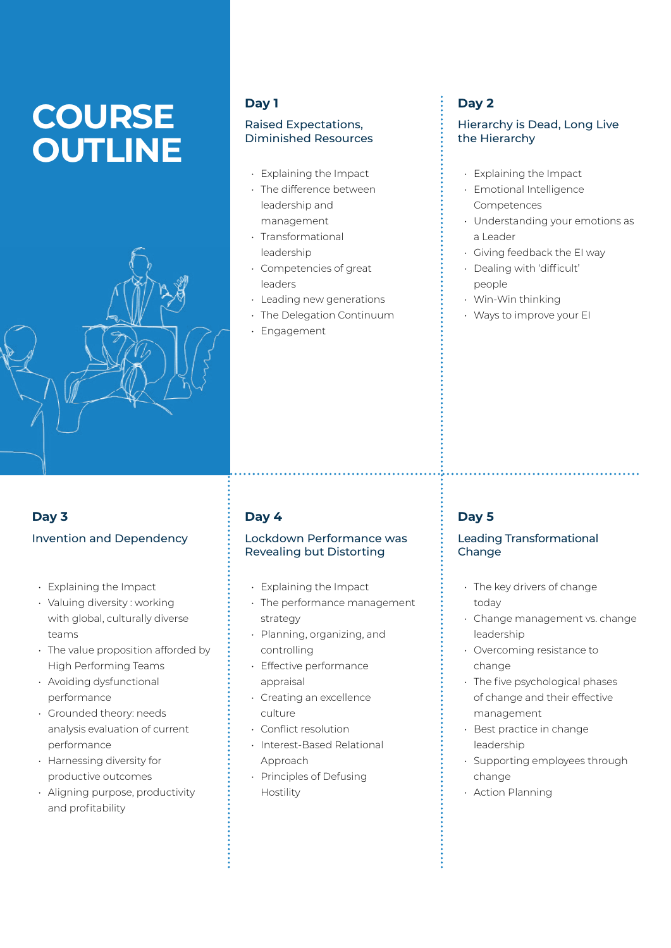# **COURSE OUTLINE**



### **Day 1**

#### Raised Expectations, Diminished Resources

- Explaining the Impact
- The difference between leadership and management
- Transformational leadership
- Competencies of great leaders
- Leading new generations
- The Delegation Continuum
- Engagement

### **Day 2**

#### Hierarchy is Dead, Long Live the Hierarchy

- Explaining the Impact
- Emotional Intelligence Competences
- Understanding your emotions as a Leader
- Giving feedback the EI way
- Dealing with 'difficult' people
- Win-Win thinking
- Ways to improve your EI

### **Day 3** Invention and Dependency

- Explaining the Impact
- Valuing diversity : working with global, culturally diverse teams
- The value proposition afforded by High Performing Teams
- Avoiding dysfunctional performance
- Grounded theory: needs analysis evaluation of current performance
- Harnessing diversity for productive outcomes
- Aligning purpose, productivity and profitability

### **Day 4**

#### Lockdown Performance was Revealing but Distorting

- Explaining the Impact
- The performance management strategy
- Planning, organizing, and controlling
- Effective performance appraisal
- Creating an excellence culture
- Conflict resolution
- Interest-Based Relational Approach
- Principles of Defusing Hostility

### **Day 5**

#### Leading Transformational **Change**

- The key drivers of change today
- Change management vs. change leadership
- Overcoming resistance to change
- The five psychological phases of change and their effective management
- Best practice in change leadership
- Supporting employees through change
- Action Planning